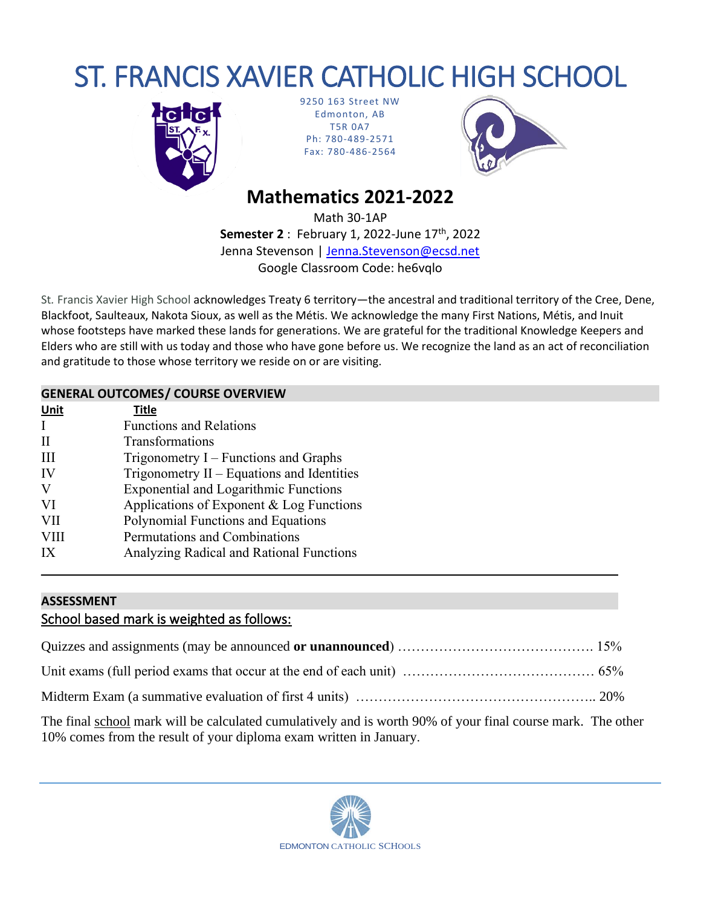# ST. FRANCIS XAVIER CATHOLIC HIGH SCHOOL



9250 163 Street NW Edmonton, AB T5R 0A7 Ph: 780-489-2571 Fax: 780-486-2564



# **Mathematics 2021-2022**

Math 30-1AP **Semester 2** : February 1, 2022-June 17th, 2022 Jenna Stevenson | [Jenna.Stevenson@ecsd.net](mailto:Jenna.Stevenson@ecsd.net) Google Classroom Code: he6vqlo

St*.* Francis Xavier High School acknowledges Treaty 6 territory—the ancestral and traditional territory of the Cree, Dene, Blackfoot, Saulteaux, Nakota Sioux, as well as the Métis. We acknowledge the many First Nations, Métis, and Inuit whose footsteps have marked these lands for generations. We are grateful for the traditional Knowledge Keepers and Elders who are still with us today and those who have gone before us. We recognize the land as an act of reconciliation and gratitude to those whose territory we reside on or are visiting.

#### **GENERAL OUTCOMES/ COURSE OVERVIEW**

| Unit        | <b>Title</b>                                 |
|-------------|----------------------------------------------|
| T           | <b>Functions and Relations</b>               |
| H           | Transformations                              |
| Ш           | Trigonometry $I$ – Functions and Graphs      |
| IV          | Trigonometry $II$ – Equations and Identities |
| V           | <b>Exponential and Logarithmic Functions</b> |
| VI          | Applications of Exponent & Log Functions     |
| <b>VII</b>  | Polynomial Functions and Equations           |
| <b>VIII</b> | Permutations and Combinations                |
| IX          | Analyzing Radical and Rational Functions     |

### **ASSESSMENT**

# School based mark is weighted as follows:

**\_\_\_\_\_\_\_\_\_\_\_\_\_\_\_\_\_\_\_\_\_\_\_\_\_\_\_\_\_\_\_\_\_\_\_\_\_\_\_\_\_\_\_\_\_\_\_\_\_\_\_\_\_\_\_\_\_\_\_\_\_\_\_\_\_\_\_\_\_\_\_\_\_\_\_\_\_\_\_\_\_\_\_\_**

The final school mark will be calculated cumulatively and is worth 90% of your final course mark. The other 10% comes from the result of your diploma exam written in January.

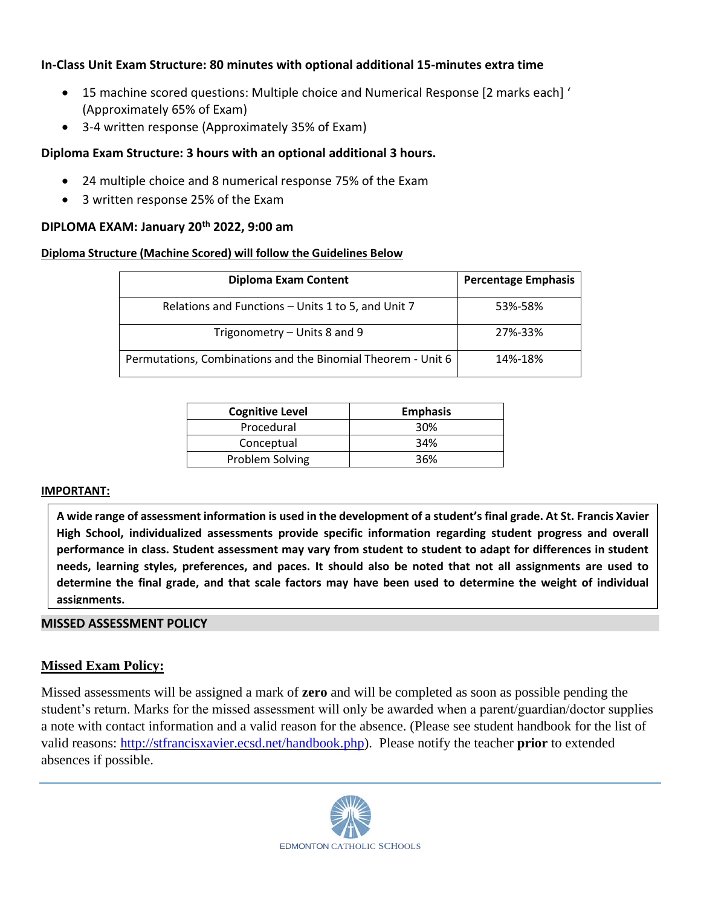### **In-Class Unit Exam Structure: 80 minutes with optional additional 15-minutes extra time**

- 15 machine scored questions: Multiple choice and Numerical Response [2 marks each] ' (Approximately 65% of Exam)
- 3-4 written response (Approximately 35% of Exam)

#### **Diploma Exam Structure: 3 hours with an optional additional 3 hours.**

- 24 multiple choice and 8 numerical response 75% of the Exam
- 3 written response 25% of the Exam

## **DIPLOMA EXAM: January 20th 2022, 9:00 am**

### **Diploma Structure (Machine Scored) will follow the Guidelines Below**

| <b>Diploma Exam Content</b>                                  | <b>Percentage Emphasis</b> |
|--------------------------------------------------------------|----------------------------|
| Relations and Functions - Units 1 to 5, and Unit 7           | 53%-58%                    |
| Trigonometry – Units 8 and 9                                 | 27%-33%                    |
| Permutations, Combinations and the Binomial Theorem - Unit 6 | 14%-18%                    |

| <b>Cognitive Level</b> | <b>Emphasis</b> |
|------------------------|-----------------|
| Procedural             | 30%             |
| Conceptual             | 34%             |
| Problem Solving        | 36%             |

#### **IMPORTANT:**

**A wide range of assessment information is used in the development of a student's final grade. At St. Francis Xavier High School, individualized assessments provide specific information regarding student progress and overall performance in class. Student assessment may vary from student to student to adapt for differences in student needs, learning styles, preferences, and paces. It should also be noted that not all assignments are used to determine the final grade, and that scale factors may have been used to determine the weight of individual assignments.**

#### **MISSED ASSESSMENT POLICY**

#### **Missed Exam Policy:**

Missed assessments will be assigned a mark of **zero** and will be completed as soon as possible pending the student's return. Marks for the missed assessment will only be awarded when a parent/guardian/doctor supplies a note with contact information and a valid reason for the absence. (Please see student handbook for the list of valid reasons: [http://stfrancisxavier.ecsd.net/handbook.php\)](http://stfrancisxavier.ecsd.net/handbook.php). Please notify the teacher **prior** to extended absences if possible.